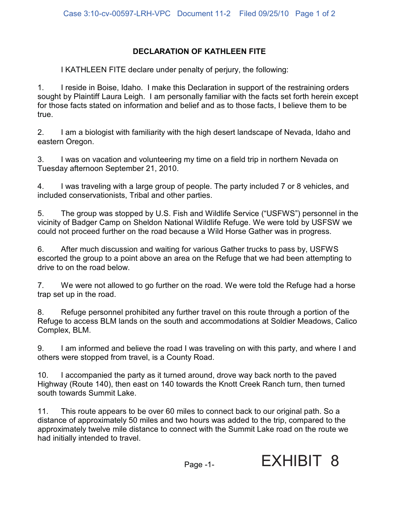## **DECLARATION OF KATHLEEN FITE**

I KATHLEEN FITE declare under penalty of perjury, the following:

1. I reside in Boise, Idaho. I make this Declaration in support of the restraining orders sought by Plaintiff Laura Leigh. I am personally familiar with the facts set forth herein except for those facts stated on information and belief and as to those facts, I believe them to be true.

2. I am a biologist with familiarity with the high desert landscape of Nevada, Idaho and eastern Oregon.

3. I was on vacation and volunteering my time on a field trip in northern Nevada on Tuesday afternoon September 21, 2010.

4. I was traveling with a large group of people. The party included 7 or 8 vehicles, and included conservationists, Tribal and other parties.

5. The group was stopped by U.S. Fish and Wildlife Service ("USFWS") personnel in the vicinity of Badger Camp on Sheldon National Wildlife Refuge. We were told by USFSW we could not proceed further on the road because a Wild Horse Gather was in progress.

6. After much discussion and waiting for various Gather trucks to pass by, USFWS escorted the group to a point above an area on the Refuge that we had been attempting to drive to on the road below.

7. We were not allowed to go further on the road. We were told the Refuge had a horse trap set up in the road.

8. Refuge personnel prohibited any further travel on this route through a portion of the Refuge to access BLM lands on the south and accommodations at Soldier Meadows, Calico Complex, BLM.

9. I am informed and believe the road I was traveling on with this party, and where I and others were stopped from travel, is a County Road.

10. I accompanied the party as it turned around, drove way back north to the paved Highway (Route 140), then east on 140 towards the Knott Creek Ranch turn, then turned south towards Summit Lake.

11. This route appears to be over 60 miles to connect back to our original path. So a distance of approximately 50 miles and two hours was added to the trip, compared to the approximately twelve mile distance to connect with the Summit Lake road on the route we had initially intended to travel.



Page -1-